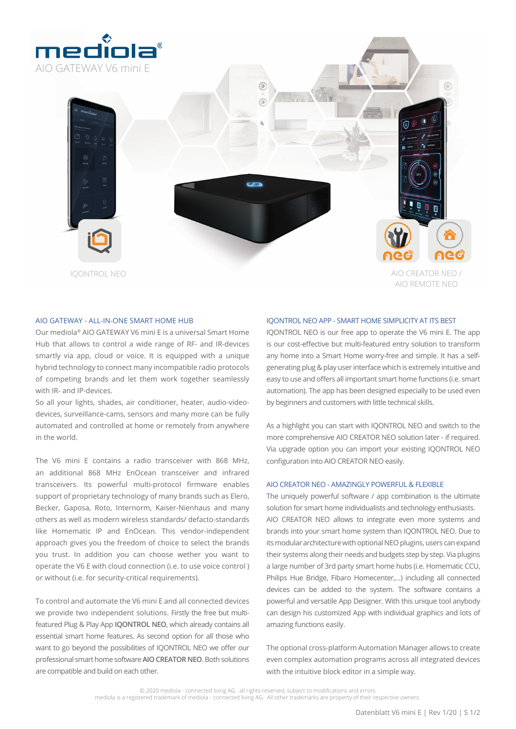

6  $\sqrt{2}$ IQONTROL NEO AIO CREATOR NEO / AIO REMOTE NEO

## AIO GATEWAY - ALL-IN-ONE SMART HOME HUB

Our mediola® AIO GATEWAY V6 mini E is a universal Smart Home Hub that allows to control a wide range of RF- and IR-devices smartly via app, cloud or voice. It is equipped with a unique hybrid technology to connect many incompatible radio protocols of competing brands and let them work together seamlessly with IR- and IP-devices.

So all your lights, shades, air conditioner, heater, audio-videodevices, surveillance-cams, sensors and many more can be fully automated and controlled at home or remotely from anywhere in the world.

The V6 mini E contains a radio transceiver with 868 MHz, an additional 868 MHz EnOcean transceiver and infrared transceivers. Its powerful multi-protocol firmware enables support of proprietary technology of many brands such as Elero, Becker, Gaposa, Roto, Internorm, Kaiser-Nienhaus and many others as well as modern wireless standards/ defacto-standards like Homematic IP and EnOcean. This vendor-independent approach gives you the freedom of choice to select the brands you trust. In addition you can choose wether you want to operate the V6 E with cloud connection (i.e. to use voice control ) or without (i.e. for security-critical requirements).

To control and automate the V6 mini E and all connected devices we provide two independent solutions. Firstly the free but multifeatured Plug & Play App **IQONTROL NEO**, which already contains all essential smart home features. As second option for all those who want to go beyond the possibilities of IQONTROL NEO we offer our professional smart home software **AIO CREATOR NEO**. Both solutions are compatible and build on each other.

## IQONTROL NEO APP - SMART HOME SIMPLICITY AT ITS BEST

IQONTROL NEO is our free app to operate the V6 mini E. The app is our cost-effective but multi-featured entry solution to transform any home into a Smart Home worry-free and simple. It has a selfgenerating plug & play user interface which is extremely intuitive and easy to use and offers all important smart home functions (i.e. smart automation). The app has been designed especially to be used even by beginners and customers with little technical skills.

As a highlight you can start with IQONTROL NEO and switch to the more comprehensive AIO CREATOR NEO solution later - if required. Via upgrade option you can import your existing IQONTROL NEO configuration into AIO CREATOR NEO easily.

## AIO CREATOR NEO - AMAZINGLY POWERFUL & FLEXIBLE

The uniquely powerful software / app combination is the ultimate solution for smart home individualists and technology enthusiasts. AIO CREATOR NEO allows to integrate even more systems and brands into your smart home system than IQONTROL NEO. Due to its modular architecture with optional NEO plugins, users can expand their systems along their needs and budgets step by step. Via plugins a large number of 3rd party smart home hubs (i.e. Homematic CCU, Philips Hue Bridge, Fibaro Homecenter,…) including all connected devices can be added to the system. The software contains a powerful and versatile App Designer. With this unique tool anybody can design his customized App with individual graphics and lots of amazing functions easily.

The optional cross-platform Automation Manager allows to create even complex automation programs across all integrated devices with the intuitive block editor in a simple way.

© 2020 mediola - connected living AG. all rights reserved, subject to modifications and errors mediola is a registered trademark of mediola - connected living AG. All other trademarks are property of their respective owners.